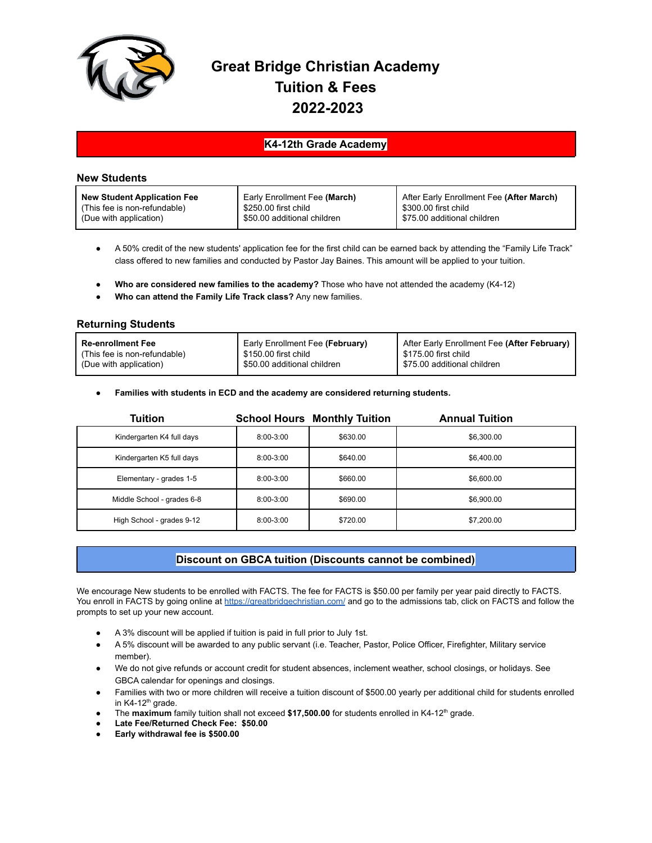

# **Great Bridge Christian Academy Tuition & Fees 2022-2023**

## **K4-12th Grade Academy**

### **New Students**

| <b>New Student Application Fee</b> | Early Enrollment Fee (March) | After Early Enrollment Fee (After March) |
|------------------------------------|------------------------------|------------------------------------------|
| (This fee is non-refundable)       | \$250.00 first child         | \$300.00 first child                     |
| (Due with application)             | \$50.00 additional children  | \$75.00 additional children              |

- A 50% credit of the new students' application fee for the first child can be earned back by attending the "Family Life Track" class offered to new families and conducted by Pastor Jay Baines. This amount will be applied to your tuition.
- **Who are considered new families to the academy?** Those who have not attended the academy (K4-12)
- **Who can attend the Family Life Track class?** Any new families.

### **Returning Students**

| <b>Re-enrollment Fee</b>     | Early Enrollment Fee (February) | After Early Enrollment Fee (After February) |
|------------------------------|---------------------------------|---------------------------------------------|
| (This fee is non-refundable) | l  \$150.00 first child         | l  \$175.00 first child                     |
| (Due with application)       | \$50.00 additional children     | S75.00 additional children                  |

#### ● **Families with students in ECD and the academy are considered returning students.**

| <b>Tuition</b>             |               | <b>School Hours Monthly Tuition</b> | <b>Annual Tuition</b> |
|----------------------------|---------------|-------------------------------------|-----------------------|
| Kindergarten K4 full days  | $8:00 - 3:00$ | \$630.00                            | \$6,300.00            |
| Kindergarten K5 full days  | $8:00 - 3:00$ | \$640.00                            | \$6,400.00            |
| Elementary - grades 1-5    | $8:00 - 3:00$ | \$660.00                            | \$6,600.00            |
| Middle School - grades 6-8 | $8:00 - 3:00$ | \$690.00                            | \$6,900.00            |
| High School - grades 9-12  | $8:00 - 3:00$ | \$720.00                            | \$7,200.00            |

# **Discount on GBCA tuition (Discounts cannot be combined)**

We encourage New students to be enrolled with FACTS. The fee for FACTS is \$50.00 per family per year paid directly to FACTS. You enroll in FACTS by going online at <https://greatbridgechristian.com/> and go to the admissions tab, click on FACTS and follow the prompts to set up your new account.

- A 3% discount will be applied if tuition is paid in full prior to July 1st.
- A 5% discount will be awarded to any public servant (i.e. Teacher, Pastor, Police Officer, Firefighter, Military service member).
- We do not give refunds or account credit for student absences, inclement weather, school closings, or holidays. See GBCA calendar for openings and closings.
- Families with two or more children will receive a tuition discount of \$500.00 yearly per additional child for students enrolled in K4-12<sup>th</sup> grade.
- The **maximum** family tuition shall not exceed \$17,500.00 for students enrolled in K4-12<sup>th</sup> grade.
- **● Late Fee/Returned Check Fee: \$50.00**
- **● Early withdrawal fee is \$500.00**